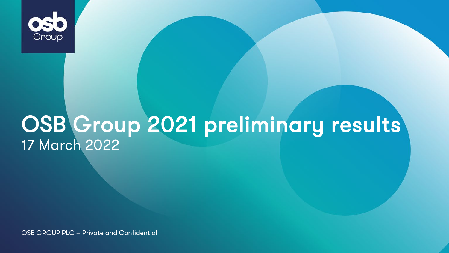

# OSB Group 2021 preliminary results 17 March <sup>2022</sup>

OSB GROUP PLC – Private and Confidential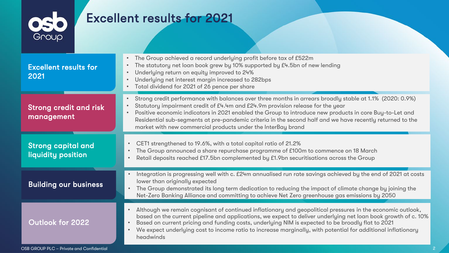

# Excellent results for 2021

| Strong credit performance with balances over three months in arrears broadly stable at 1.1% (2020: 0.9%)<br>$\bullet$<br>Statutory impairment credit of £4.4m and £24.9m provision release for the year<br>$\bullet$<br><b>Strong credit and risk</b><br>Positive economic indicators in 2021 enabled the Group to introduce new products in core Buy-to-Let and<br>management<br>Residential sub-segments at pre-pandemic criteria in the second half and we have recently returned to the<br>market with new commercial products under the InterBay brand<br>CET1 strengthened to 19.6%, with a total capital ratio of 21.2%<br><b>Strong capital and</b><br>The Group announced a share repurchase programme of £100m to commence on 18 March<br>liquidity position<br>Retail deposits reached £17.5bn complemented by £1.9bn securitisations across the Group<br>lower than originally expected<br><b>Building our business</b><br>The Group demonstrated its long term dedication to reducing the impact of climate change by joining the<br>$\bullet$<br>Net-Zero Banking Alliance and committing to achieve Net Zero greenhouse gas emissions by 2050<br>Although we remain cognisant of continued inflationary and geopolitical pressures in the economic outlook,<br>Outlook for 2022<br>Based on current pricing and funding costs, underlying NIM is expected to be broadly flat to 2021<br>We expect underlying cost to income ratio to increase marginally, with potential for additional inflationary | <b>Excellent results for</b><br>2021 | The Group achieved a record underlying profit before tax of £522m<br>$\bullet$<br>The statutory net loan book grew by 10% supported by £4.5bn of new lending<br>$\bullet$<br>Underlying return on equity improved to 24%<br>$\bullet$<br>Underlying net interest margin increased to 282bps<br>$\bullet$<br>Total dividend for 2021 of 26 pence per share |
|---------------------------------------------------------------------------------------------------------------------------------------------------------------------------------------------------------------------------------------------------------------------------------------------------------------------------------------------------------------------------------------------------------------------------------------------------------------------------------------------------------------------------------------------------------------------------------------------------------------------------------------------------------------------------------------------------------------------------------------------------------------------------------------------------------------------------------------------------------------------------------------------------------------------------------------------------------------------------------------------------------------------------------------------------------------------------------------------------------------------------------------------------------------------------------------------------------------------------------------------------------------------------------------------------------------------------------------------------------------------------------------------------------------------------------------------------------------------------------------------------------------------|--------------------------------------|-----------------------------------------------------------------------------------------------------------------------------------------------------------------------------------------------------------------------------------------------------------------------------------------------------------------------------------------------------------|
|                                                                                                                                                                                                                                                                                                                                                                                                                                                                                                                                                                                                                                                                                                                                                                                                                                                                                                                                                                                                                                                                                                                                                                                                                                                                                                                                                                                                                                                                                                                     |                                      |                                                                                                                                                                                                                                                                                                                                                           |
|                                                                                                                                                                                                                                                                                                                                                                                                                                                                                                                                                                                                                                                                                                                                                                                                                                                                                                                                                                                                                                                                                                                                                                                                                                                                                                                                                                                                                                                                                                                     |                                      |                                                                                                                                                                                                                                                                                                                                                           |
|                                                                                                                                                                                                                                                                                                                                                                                                                                                                                                                                                                                                                                                                                                                                                                                                                                                                                                                                                                                                                                                                                                                                                                                                                                                                                                                                                                                                                                                                                                                     |                                      | Integration is progressing well with c. £24m annualised run rate savings achieved by the end of 2021 at costs                                                                                                                                                                                                                                             |
| headwinds                                                                                                                                                                                                                                                                                                                                                                                                                                                                                                                                                                                                                                                                                                                                                                                                                                                                                                                                                                                                                                                                                                                                                                                                                                                                                                                                                                                                                                                                                                           |                                      | based on the current pipeline and applications, we expect to deliver underlying net loan book growth of c. 10%                                                                                                                                                                                                                                            |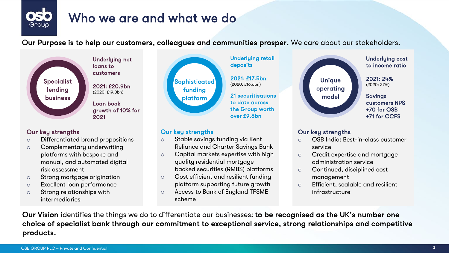

# Who we are and what we do

Our Purpose is to help our customers, colleagues and communities prosper. We care about our stakeholders.



customers 2021: £20.9bn<br>(2020: £19.0bn)

Underlying net loans to

Loan book growth of 10% for 2021

### Our key strengths

- o Differentiated brand propositions
- o Complementary underwriting platforms with bespoke and manual, and automated digital risk assessment
- o Strong mortgage origination
- o Excellent loan performance
- o Strong relationships with intermediaries



### Our key strengths

- o Stable savings funding via Kent Reliance and Charter Savings Bank
- o Capital markets expertise with high quality residential mortgage backed securities (RMBS) platforms
- o Cost efficient and resilient funding platform supporting future growth
- o Access to Bank of England TFSME scheme



### Our key strengths

- o OSB India: Best-in-class customer service
- o Credit expertise and mortgage administration service
- o Continued, disciplined cost management
- o Efficient, scalable and resilient infrastructure

Our Vision identifies the things we do to differentiate our businesses: to be recognised as the UK's number one choice of specialist bank through our commitment to exceptional service, strong relationships and competitive products.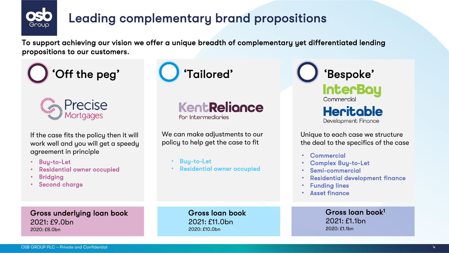

# Leading complementary brand propositions

To support achieving our vision we offer a unique breadth of complementary yet differentiated lending propositions to our customers.





If the case fits the policy then it will work well and you will get a speedy agreement in principle

- Buy-to-Let
- Residential owner occupied
- **Bridging**
- Second charge





We can make adjustments to our policy to help get the case to fit

- Buu-to-Let
- Residential owner occupied

**InterBay** Commercial **Heritable** Development Finance

Unique to each case we structure the deal to the specifics of the case

- **Commercial**
- Complex Buy-to-Let
- Semi-commercial
- Residential development finance
- **Funding lines**
- Asset finance

Gross underlying loan book  $2021 \cdot F9$  Ohn 2020: £8.0bn

Gross loan book 2021: £11.0bn  $2020 \cdot f10.0$ bn

Gross loan book1 2021: £1.1bn 2020: £1.1bn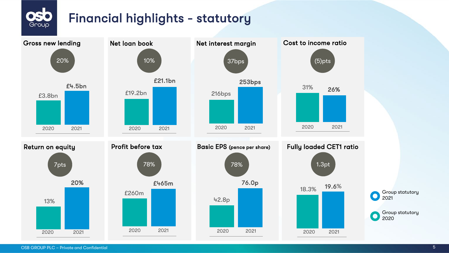# Financial highlights - statutory



 $\bullet$   $\sim$ Group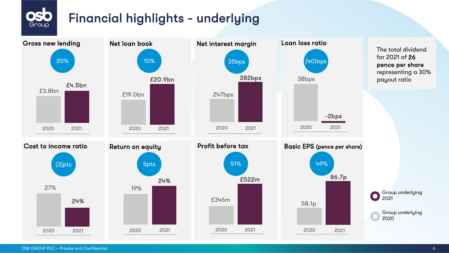# Financial highlights - underlying



 $\bullet$   $\blacksquare$ Group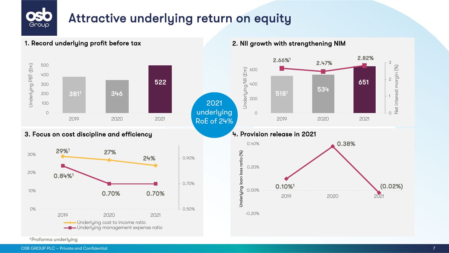# Attractive underlying return on equity



### 1. Record underlying profit before tax 2. NII growth with strengthening NIM

Group



3. Focus on cost discipline and efficiency **4. Provision release in 2021** 



1 Proforma underlying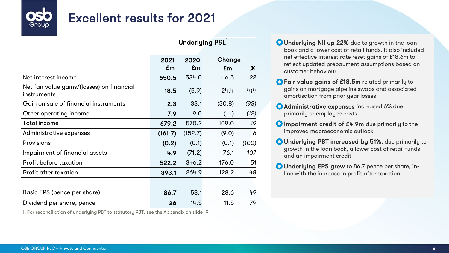# Excellent results for 2021

|                                                           | Underlying P&L' |         |        |                            |  |
|-----------------------------------------------------------|-----------------|---------|--------|----------------------------|--|
|                                                           | 2021            | 2020    | Change |                            |  |
|                                                           | £m              | £m      | £m     | $\boldsymbol{\mathscr{K}}$ |  |
| Net interest income                                       | 650.5           | 534.0   | 116.5  | 22                         |  |
| Net fair value gains/(losses) on financial<br>instruments | 18.5            | (5.9)   | 24.4   | 414                        |  |
| Gain on sale of financial instruments                     | 2.3             | 33.1    | (30.8) | (93)                       |  |
| Other operating income                                    | 7.9             | 9.0     | (1.1)  | (12)                       |  |
| Total income                                              | 679.2           | 570.2   | 109.0  | 19                         |  |
| Administrative expenses                                   | (161.7)         | (152.7) | (9.0)  | 6                          |  |
| Provisions                                                | (0.2)           | (0.1)   | (0.1)  | (100)                      |  |
| Impairment of financial assets                            | 4.9             | (71.2)  | 76.1   | 107                        |  |
| Profit before taxation                                    | 522.2           | 346.2   | 176.0  | 51                         |  |
| Profit after taxation                                     | 393.1           | 264.9   | 128.2  | 48                         |  |
|                                                           |                 |         |        |                            |  |
| Basic EPS (pence per share)                               | 86.7            | 58.1    | 28.6   | 49                         |  |
| Dividend per share, pence                                 | 26              | 14.5    | 11.5   | 79                         |  |

1. For reconciliation of underlying PBT to statutory PBT, see the Appendix on slide 19

- Underlying NII up 22% due to growth in the loan book and a lower cost of retail funds. It also included net effective interest rate reset gains of £18.6m to reflect updated prepayment assumptions based on customer behaviour
- Fair value gains of £18.5m related primarily to gains on mortgage pipeline swaps and associated amortisation from prior year losses
- Administrative expenses increased 6% due primarily to employee costs
- **O** Impairment credit of £4.9m due primarily to the improved macroeconomic outlook
- Underlying PBT increased by 51%, due primarily to growth in the loan book, a lower cost of retail funds and an impairment credit
- Underlying EPS grew to 86.7 pence per share, inline with the increase in profit after taxation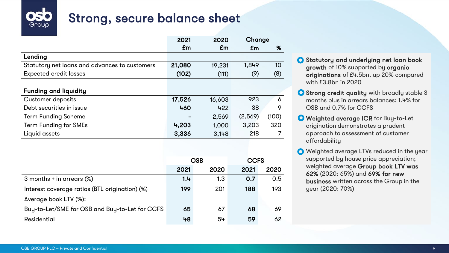

# Strong, secure balance sheet

|                                               | 2020<br>2021 |        | Change  |       |
|-----------------------------------------------|--------------|--------|---------|-------|
|                                               | £m           | £m     | £m      | %     |
| Lending                                       |              |        |         |       |
| Statutory net loans and advances to customers | 21,080       | 19.231 | 1.849   | 10    |
| <b>Expected credit losses</b>                 | (102)        | (111)  | (9)     | (8)   |
|                                               |              |        |         |       |
| <b>Funding and liquidity</b>                  |              |        |         |       |
| Customer deposits                             | 17,526       | 16,603 | 923     | 6     |
| Debt securities in issue                      | 460          | 422    | 38      | 9     |
| <b>Term Funding Scheme</b>                    |              | 2.569  | (2,569) | (100) |
| Term Funding for SMEs                         | 4.203        | 1.000  | 3.203   | 320   |
| Liquid assets                                 | 3,336        | 3,148  | 218     |       |

| OSB  |      | <b>CCFS</b> |               |
|------|------|-------------|---------------|
| 2021 | 2020 | 2021        | 2020          |
| 1.4  | 1.3  | 0.7         | $0.5^{\circ}$ |
| 199  | 201  | 188         | 193           |
|      |      |             |               |
| 65   | 67   | 68          | 69            |
| 48   | 54   | 59          | 62.           |
|      |      |             |               |

Statutory and underlying net loan book growth of 10% supported by organic originations of £4.5bn, up 20% compared with £3.8bn in 2020

**O Strong credit quality** with broadly stable 3 months plus in arrears balances: 1.4% for OSB and 0.7% for CCFS

**O** Weighted average ICR for Buy-to-Let origination demonstrates a prudent approach to assessment of customer affordability

O Weighted average LTVs reduced in the year supported by house price appreciation; weighted average Group book LTV was 62% (2020: 65%) and 69% for new business written across the Group in the year (2020: 70%)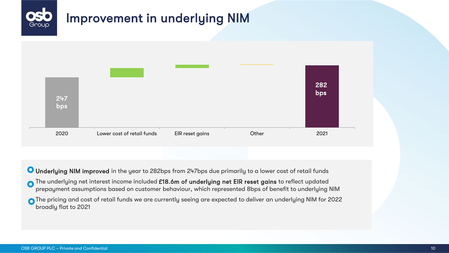

O Underlying NIM improved in the year to 282bps from 247bps due primarily to a lower cost of retail funds

- The underlying net interest income included £18.6m of underlying net EIR reset gains to reflect updated prepayment assumptions based on customer behaviour, which represented 8bps of benefit to underlying NIM
- The pricing and cost of retail funds we are currently seeing are expected to deliver an underlying NIM for 2022 broadly flat to 2021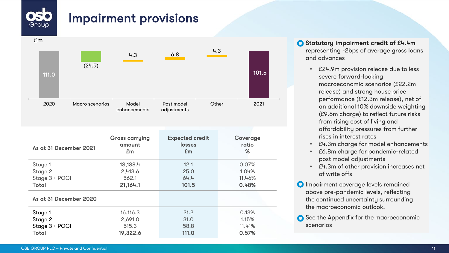# Impairment provisions



- Statutory impairment credit of £4.4m representing -2bps of average gross loans and advances
	- £24.9m provision release due to less severe forward-looking macroeconomic scenarios (£22.2m release) and strong house price performance (£12.3m release), net of an additional 10% downside weighting (£9.6m charge) to reflect future risks from rising cost of living and affordability pressures from further rises in interest rates
	- £4.3m charge for model enhancements
	- £6.8m charge for pandemic-related post model adjustments
	- £4.3m of other provision increases net of write offs
- **O** Impairment coverage levels remained above pre-pandemic levels, reflecting the continued uncertainty surrounding the macroeconomic outlook.
- **◯** See the Appendix for the macroeconomic scenarios

Group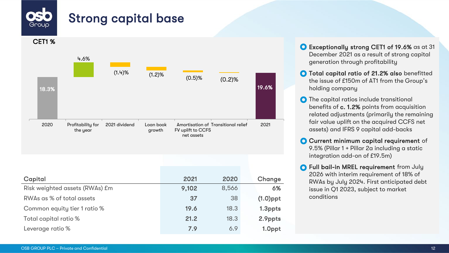# Strong capital base



Leverage ratio % 1.0ppt  $\sim$  7.9 6.9 1.0ppt

- Exceptionally strong CET1 of 19.6% as at 31 December 2021 as a result of strong capital generation through profitability
- **O** Total capital ratio of 21.2% also benefitted the issue of £150m of AT1 from the Group's holding company
- **O** The capital ratios include transitional benefits of c. 1.2% points from acquisition related adjustments (primarily the remaining fair value uplift on the acquired CCFS net assets) and IFRS 9 capital add-backs
- **O** Current minimum capital requirement of 9.5% (Pillar 1 + Pillar 2a including a static integration add-on of £19.5m)
- **O** Full bail-in MREL requirement from July 2026 with interim requirement of 18% of RWAs by July 2024. First anticipated debt issue in Q1 2023, subject to market conditions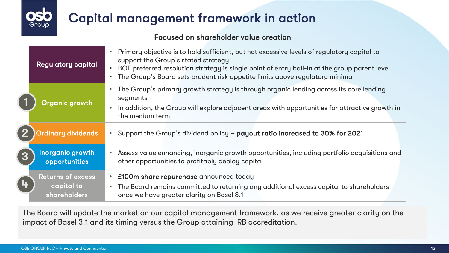# Capital management framework in action

### Focused on shareholder value creation

|                | <b>Regulatory capital</b>                              | Primary objective is to hold sufficient, but not excessive levels of regulatory capital to<br>support the Group's stated strategy<br>BOE preferred resolution strategy is single point of entry bail-in at the group parent level<br>The Group's Board sets prudent risk appetite limits above regulatory minima |
|----------------|--------------------------------------------------------|------------------------------------------------------------------------------------------------------------------------------------------------------------------------------------------------------------------------------------------------------------------------------------------------------------------|
|                | Organic growth                                         | The Group's primary growth strategy is through organic lending across its core lending<br>segments<br>In addition, the Group will explore adjacent areas with opportunities for attractive growth in<br>the medium term                                                                                          |
|                | Ordinary dividends                                     | Support the Group's dividend policy - payout ratio increased to 30% for 2021                                                                                                                                                                                                                                     |
| 【3             | Inorganic growth<br>opportunities                      | Assess value enhancing, inorganic growth opportunities, including portfolio acquisitions and<br>other opportunities to profitably deploy capital                                                                                                                                                                 |
| $\overline{4}$ | <b>Returns of excess</b><br>capital to<br>shareholders | • £100m share repurchase announced today<br>The Board remains committed to returning any additional excess capital to shareholders<br>once we have greater clarity on Basel 3.1                                                                                                                                  |

The Board will update the market on our capital management framework, as we receive greater clarity on the impact of Basel 3.1 and its timing versus the Group attaining IRB accreditation.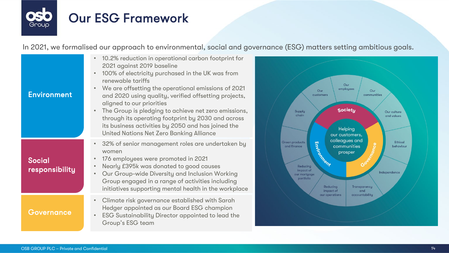

In 2021, we formalised our approach to environmental, social and governance (ESG) matters setting ambitious goals.

| <b>Environment</b>              | 10.2% reduction in operational carbon footprint for<br>2021 against 2019 baseline<br>100% of electricity purchased in the UK was from<br>$\bullet$<br>renewable tariffs<br>We are offsetting the operational emissions of 2021<br>and 2020 using quality, verified offsetting projects,<br>aligned to our priorities<br>The Group is pledging to achieve net zero emissions,<br>through its operating footprint by 2030 and across |
|---------------------------------|------------------------------------------------------------------------------------------------------------------------------------------------------------------------------------------------------------------------------------------------------------------------------------------------------------------------------------------------------------------------------------------------------------------------------------|
|                                 | its business activities by 2050 and has joined the<br>United Nations Net Zero Banking Alliance                                                                                                                                                                                                                                                                                                                                     |
| <b>Social</b><br>responsibility | 32% of senior management roles are undertaken by<br>$\bullet$<br>women<br>176 employees were promoted in 2021<br>٠<br>Nearly £395k was donated to good causes<br>$\bullet$<br>Our Group-wide Diversity and Inclusion Working<br>$\bullet$<br>Group engaged in a range of activities including<br>initiatives supporting mental health in the workplace                                                                             |
| Governance                      | Climate risk governance established with Sarah<br>$\bullet$<br>Hedger appointed as our Board ESG champion<br>ESG Sustainability Director appointed to lead the<br>Group's ESG team                                                                                                                                                                                                                                                 |

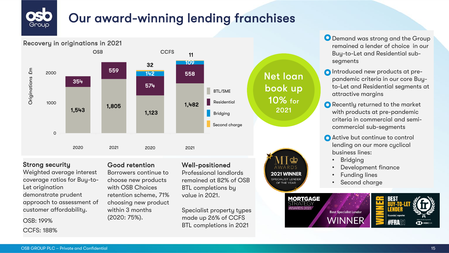# Our award-winning lending franchises



### Strong security

Weighted average interest coverage ratios for Buy-to-Let origination demonstrate prudent approach to assessment of customer affordability.

OSB: 199% CCFS: 188%

### Good retention

Borrowers continue to choose new products with OSB Choices retention scheme, 71% choosing new product within 3 months (2020: 75%).

### Well-positioned

Professional landlords remained at 82% of OSB BTL completions by value in 2021.

Specialist property types made up 26% of CCFS BTL completions in 2021

Net loan book up 10% for

> 2021 WINNER SPECIALIST LENDER OF THE YEAR

**O** Demand was strong and the Group remained a lender of choice in our Buy-to-Let and Residential subsegments

- Introduced new products at prepandemic criteria in our core Buyto-Let and Residential segments at attractive margins
- **O** Recently returned to the market with products at pre-pandemic criteria in commercial and semicommercial sub-segments
- **Active but continue to control** lending on our more cyclical business lines:
	- Bridging
	- Development finance
	- Funding lines
	- Second charge

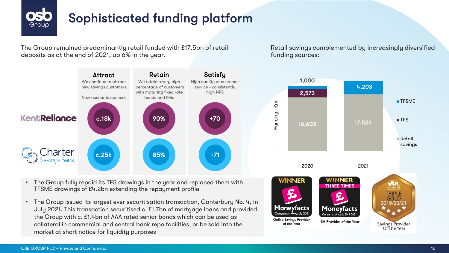

# Sophisticated funding platform

The Group remained predominantly retail funded with £17.5bn of retail deposits as at the end of 2021, up 6% in the year.



- The Group fully repaid its TFS drawings in the year and replaced them with TFSME drawings of £4.2bn extending the repayment profile
- The Group issued its largest ever securitisation transaction, Canterbury No. 4, in July 2021. This transaction securitised c. £1.7bn of mortgage loans and provided the Group with c. £1.4bn of AAA rated senior bonds which can be used as collateral in commercial and central bank repo facilities, or be sold into the market at short notice for liquidity purposes

Retail savings complemented by increasingly diversified funding sources:

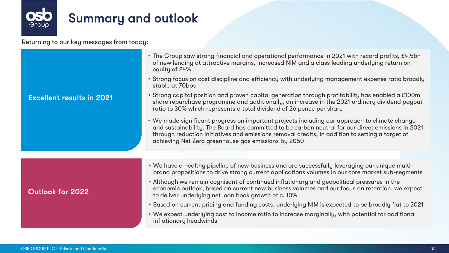

Returning to our key messages from today:

|                                  | • The Group saw strong financial and operational performance in 2021 with record profits, £4.5bn<br>of new lending at attractive margins, increased NIM and a class leading underlying return on<br>equity of 24%<br>• Strong focus on cost discipline and efficiency with underlying management expense ratio broadly<br>stable at 70bps                    |  |  |  |
|----------------------------------|--------------------------------------------------------------------------------------------------------------------------------------------------------------------------------------------------------------------------------------------------------------------------------------------------------------------------------------------------------------|--|--|--|
| <b>Excellent results in 2021</b> | • Strong capital position and proven capital generation through profitability has enabled a £100m<br>share repurchase programme and additionally, an increase in the 2021 ordinary dividend payout<br>ratio to 30% which represents a total dividend of 26 pence per share                                                                                   |  |  |  |
|                                  | • We made significant progress on important projects including our approach to climate change<br>and sustainability. The Board has committed to be carbon neutral for our direct emissions in 2021<br>through reduction initiatives and emissions removal credits, in addition to setting a target of<br>achieving Net Zero greenhouse gas emissions by 2050 |  |  |  |
|                                  |                                                                                                                                                                                                                                                                                                                                                              |  |  |  |
|                                  | . We have a healthy pipeline of new business and are successfully leveraging our unique multi-<br>brand propositions to drive strong current applications volumes in our core market sub-segments                                                                                                                                                            |  |  |  |
| Outlook for 2022                 | • Although we remain cognisant of continued inflationary and geopolitical pressures in the<br>economic outlook, based on current new business volumes and our focus on retention, we expect<br>to deliver underlying net loan book growth of c. 10%                                                                                                          |  |  |  |
|                                  | • Based on current pricing and funding costs, underlying NIM is expected to be broadly flat to 2021                                                                                                                                                                                                                                                          |  |  |  |
|                                  | . We expect underlying cost to income ratio to increase marginally, with potential for additional<br>inflationary headwinds                                                                                                                                                                                                                                  |  |  |  |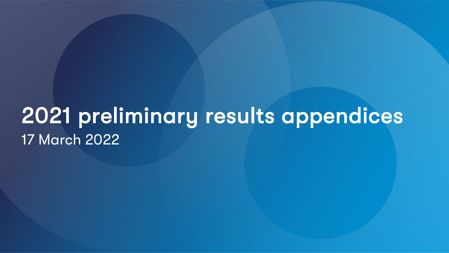# 2021 preliminary results appendices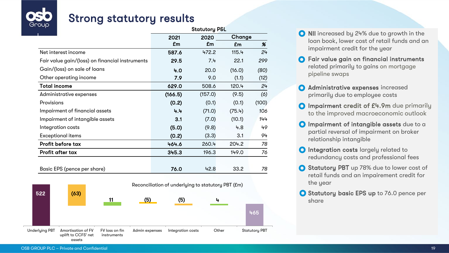

# Strong statutory results

| oop                                             | <b>Statutory P&amp;L</b> |         |        |       |
|-------------------------------------------------|--------------------------|---------|--------|-------|
|                                                 | 2021                     | 2020    | Change |       |
|                                                 | £m                       | £m      | £m     | %     |
| Net interest income                             | 587.6                    | 472.2   | 115.4  | 24    |
| Fair value gain/(loss) on financial instruments | 29.5                     | 7.4     | 22.1   | 299   |
| Gain/(loss) on sale of loans                    | 4.0                      | 20.0    | (16.0) | (80)  |
| Other operating income                          | 7.9                      | 9.0     | (1.1)  | (12)  |
| Total income                                    | 629.0                    | 508.6   | 120.4  | 24    |
| Administrative expenses                         | (166.5)                  | (157.0) | (9.5)  | (6)   |
| Provisions                                      | (0.2)                    | (0.1)   | (0.1)  | (100) |
| Impairment of financial assets                  | 4.4                      | (71.0)  | (75.4) | 106   |
| Impairment of intangible assets                 | 3.1                      | (7.0)   | (10.1) | 144   |
| Integration costs                               | (5.0)                    | (9.8)   | 4.8    | 49    |
| Exceptional items                               | (0.2)                    | (3.3)   | 3.1    | 94    |
| Profit before tax                               | 464.6                    | 260.4   | 204.2  | 78    |
| Profit after tax                                | 345.3                    | 196.3   | 149.0  | 76    |
| Basic EPS (pence per share)                     | 76.0                     | 42.8    | 33.2   | 78    |



- NII increased by 24% due to growth in the loan book, lower cost of retail funds and an impairment credit for the year
- **O** Fair value gain on financial instruments related primarily to gains on mortgage pipeline swaps
- **O** Administrative expenses increased primarily due to employee costs
- **O** Impairment credit of £4.9m due primarily to the improved macroeconomic outlook
- **O** Impairment of intangible assets due to a partial reversal of impairment on broker relationship intangible
- **O** Integration costs largely related to redundancy costs and professional fees
- **O** Statutory PBT up 78% due to lower cost of retail funds and an impairement credit for the year
- **O** Statutory basic EPS up to 76.0 pence per share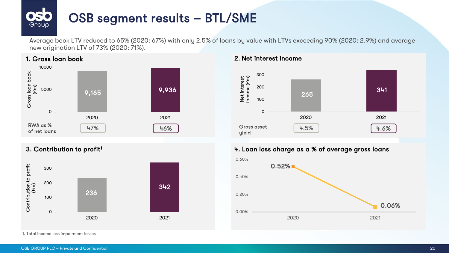

Average book LTV reduced to 65% (2020: 67%) with only 2.5% of loans by value with LTVs exceeding 90% (2020: 2.9%) and average new origination LTV of 73% (2020: 71%).







### 3. Contribution to profit<sup>1</sup> 2. Loan loss charge as a % of average gross loans

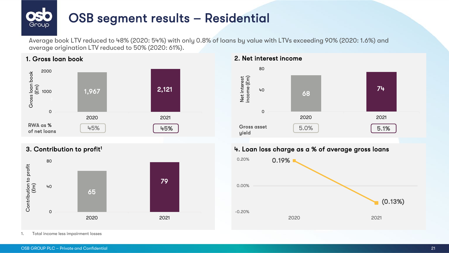# OSB segment results – Residential Group

Average book LTV reduced to 48% (2020: 54%) with only 0.8% of loans by value with LTVs exceeding 90% (2020: 1.6%) and average origination LTV reduced to 50% (2020: 61%).





1. Gross loan book 2. Net interest income



### 3. Contribution to profit<sup>1</sup> 2. Loan loss charge as a % of average gross loans

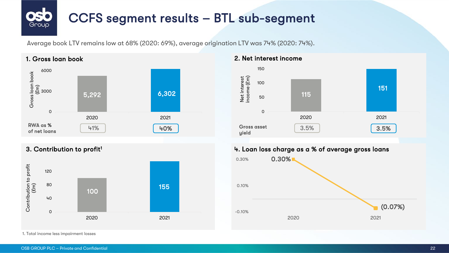### CCFS segment results – BTL sub-segment Group

Average book LTV remains low at 68% (2020: 69%), average origination LTV was 74% (2020: 74%).

### $\mathbf C$ 3000 6000 2020 2021 Gross loan book (£m) 6,302  $41\%$   $\begin{bmatrix} 40\% \end{bmatrix}$  Gross asset RWA as % of net loans 5,292



1. Gross loan book 2. Net interest income



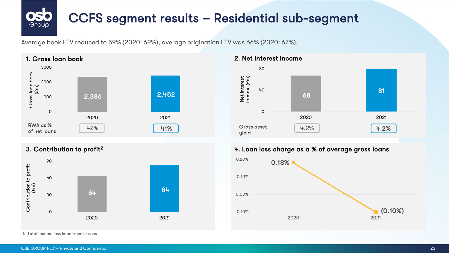# CCFS segment results – Residential sub-segment

Average book LTV reduced to 59% (2020: 62%), average origination LTV was 66% (2020: 67%).



Group



1. Total income less impairment losses



### 3. Contribution to profit<sup>2</sup> 2. Loan loss charge as a % of average gross loans

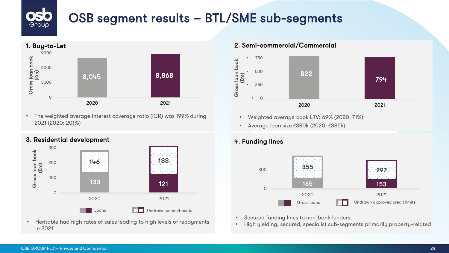## OSB segment results – BTL/SME sub-segments Group



• The weighted average interest coverage ratio (ICR) was 199% during 2021 (2020: 201%)





• Heritable had high rates of sales leading to high levels of repayments in 2021



- Weighted average book LTV: 69% (2020: 71%)
- Average loan size £380k (2020: £385k)



- Secured funding lines to non-bank lenders
- High yielding, secured, specialist sub-segments primarily property-related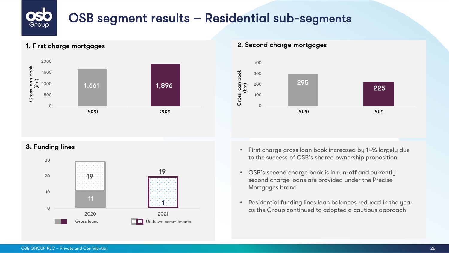# OSB segment results – Residential sub-segments



### 1. First charge mortgages 2. Second charge mortgages





- **3. Funding lines 3. Funding lines 1999 1999 1999 1999 1999 1999 1999 1999 1999 1999 1999 1999 1999 1999 1999 1999 1999 1999 1999 1999 1999 1999 1999 1999 1999 1999 1** to the success of OSB's shared ownership proposition
	- OSB's second charge book is in run-off and currently second charge loans are provided under the Precise Mortgages brand
	- Residential funding lines loan balances reduced in the year as the Group continued to adopted a cautious approach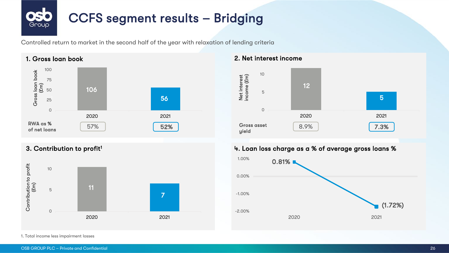## CCFS segment results – Bridging Group

Controlled return to market in the second half of the year with relaxation of lending criteria







### 3. Contribution to profit<sup>1</sup> 2. Contribution to profit<sup>1</sup> 4. Loan loss charge as a % of average gross loans %

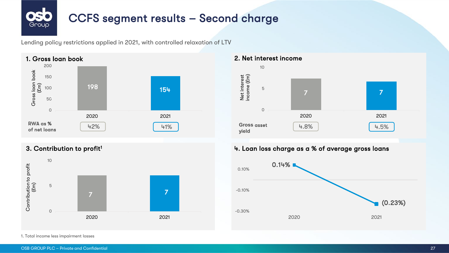# CCFS segment results – Second charge Group

Lending policy restrictions applied in 2021, with controlled relaxation of LTV







### 3. Contribution to profit<sup>1</sup> 2. Loan loss charge as a % of average gross loans

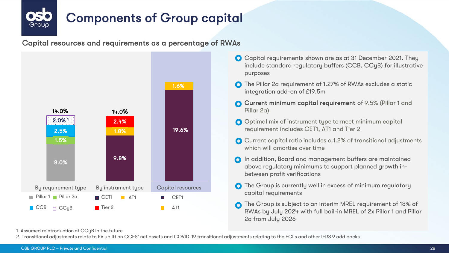

Capital resources and requirements as a percentage of RWAs



- Capital requirements shown are as at 31 December 2021. They include standard regulatory buffers (CCB, CCyB) for illustrative purposes
- The Pillar 2a requirement of 1.27% of RWAs excludes a static integration add-on of £19.5m
- Current minimum capital requirement of 9.5% (Pillar 1 and Pillar 2a)
- O Optimal mix of instrument type to meet minimum capital requirement includes CET1, AT1 and Tier 2
- **○** Current capital ratio includes c.1.2% of transitional adjustments which will amortise over time
- In addition, Board and management buffers are maintained above regulatory minimums to support planned growth inbetween profit verifications
- **◯** The Group is currently well in excess of minimum regulatory capital requirements
- The Group is subject to an interim MREL requirement of 18% of  $\Omega$ RWAs by July 2024 with full bail-in MREL of 2x Pillar 1 and Pillar 2a from July 2026

1. Assumed reintroduction of CCyB in the future

2. Transitional adjustments relate to FV uplift on CCFS' net assets and COVID-19 transitional adjustments relating to the ECLs and other IFRS 9 add backs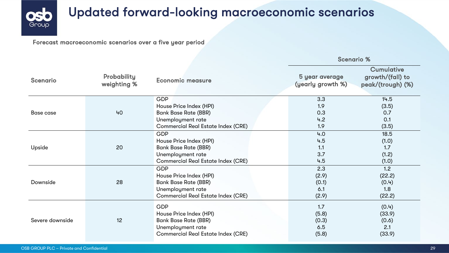

# Updated forward-looking macroeconomic scenarios

Forecast macroeconomic scenarios over a five year period

|                 |                                   |                                           | <b>Scenario %</b>                   |                                                            |
|-----------------|-----------------------------------|-------------------------------------------|-------------------------------------|------------------------------------------------------------|
| <b>Scenario</b> | <b>Probability</b><br>weighting % | Economic measure                          | 5 year average<br>(yearly growth %) | <b>Cumulative</b><br>growth/(fall) to<br>peak/(trough) (%) |
|                 |                                   | <b>GDP</b>                                | 3.3                                 | 14.5                                                       |
|                 |                                   | House Price Index (HPI)                   | 1.9                                 | (3.5)                                                      |
| Base case       | 40                                | <b>Bank Base Rate (BBR)</b>               | 0.3                                 | 0.7                                                        |
|                 |                                   | Unemployment rate                         | 4.2                                 | 0.1                                                        |
|                 |                                   | <b>Commercial Real Estate Index (CRE)</b> | 1.9                                 | (3.5)                                                      |
|                 |                                   | GDP                                       | 4.0                                 | 18.5                                                       |
|                 |                                   | House Price Index (HPI)                   | 4.5                                 | (1.0)                                                      |
| Upside          | 20                                | <b>Bank Base Rate (BBR)</b>               | 1.1                                 | 1.7                                                        |
|                 |                                   | Unemployment rate                         | 3.7                                 | (1.2)                                                      |
|                 |                                   | <b>Commercial Real Estate Index (CRE)</b> | 4.5                                 | (1.0)                                                      |
|                 |                                   | <b>GDP</b>                                | 2.3                                 | 1.2                                                        |
|                 |                                   | House Price Index (HPI)                   | (2.9)                               | (22.2)                                                     |
| Downside        | 28                                | Bank Base Rate (BBR)                      | (0.1)                               | (0.4)                                                      |
|                 |                                   | Unemployment rate                         | 6.1                                 | 1.8                                                        |
|                 |                                   | Commercial Real Estate Index (CRE)        | (2.9)                               | (22.2)                                                     |
|                 |                                   | <b>GDP</b>                                | 1.7                                 | (0.4)                                                      |
|                 |                                   | House Price Index (HPI)                   | (5.8)                               | (33.9)                                                     |
| Severe downside | 12                                | <b>Bank Base Rate (BBR)</b>               | (0.3)                               | (0.6)                                                      |
|                 |                                   | Unemployment rate                         | 6.5                                 | 2.1                                                        |
|                 |                                   | <b>Commercial Real Estate Index (CRE)</b> | (5.8)                               | (33.9)                                                     |